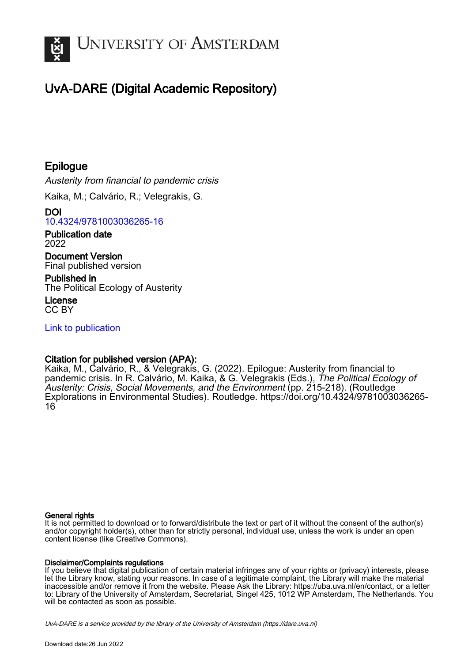

# UvA-DARE (Digital Academic Repository)

## Epilogue

Austerity from financial to pandemic crisis

Kaika, M.; Calvário, R.; Velegrakis, G.

DOI [10.4324/9781003036265-16](https://doi.org/10.4324/9781003036265-16)

Publication date 2022

Document Version Final published version

Published in The Political Ecology of Austerity

License CC BY

[Link to publication](https://dare.uva.nl/personal/pure/en/publications/epilogue(ae4a0a70-7c9b-4e4d-93bd-c8ab36dfd1ef).html)

### Citation for published version (APA):

Kaika, M., Calvário, R., & Velegrakis, G. (2022). Epilogue: Austerity from financial to pandemic crisis. In R. Calvário, M. Kaika, & G. Velegrakis (Eds.), The Political Ecology of Austerity: Crisis, Social Movements, and the Environment (pp. 215-218). (Routledge Explorations in Environmental Studies). Routledge. [https://doi.org/10.4324/9781003036265-](https://doi.org/10.4324/9781003036265-16) [16](https://doi.org/10.4324/9781003036265-16)

#### General rights

It is not permitted to download or to forward/distribute the text or part of it without the consent of the author(s) and/or copyright holder(s), other than for strictly personal, individual use, unless the work is under an open content license (like Creative Commons).

#### Disclaimer/Complaints regulations

If you believe that digital publication of certain material infringes any of your rights or (privacy) interests, please let the Library know, stating your reasons. In case of a legitimate complaint, the Library will make the material inaccessible and/or remove it from the website. Please Ask the Library: https://uba.uva.nl/en/contact, or a letter to: Library of the University of Amsterdam, Secretariat, Singel 425, 1012 WP Amsterdam, The Netherlands. You will be contacted as soon as possible.

UvA-DARE is a service provided by the library of the University of Amsterdam (http*s*://dare.uva.nl)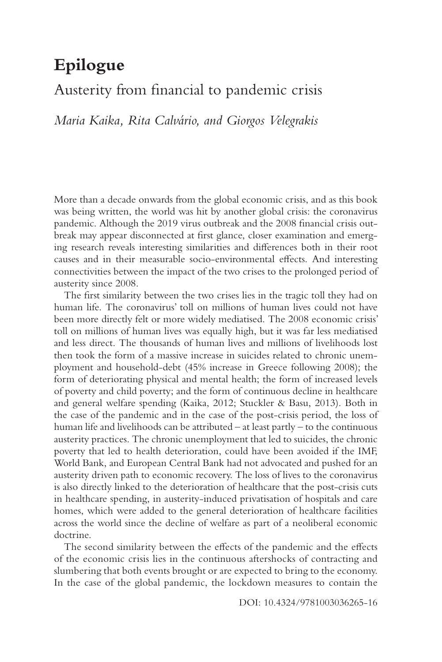## **Epilogue**

### [Austerity from fnancial to pandemic crisis](#page--1-0)

*Maria Kaika, Rita Calvário, and Giorgos Velegrakis* 

More than a decade onwards from the global economic crisis, and as this book was being written, the world was hit by another global crisis: the coronavirus pandemic. Although the 2019 virus outbreak and the 2008 fnancial crisis outbreak may appear disconnected at frst glance, closer examination and emerging research reveals interesting similarities and diferences both in their root causes and in their measurable socio-environmental efects. And interesting connectivities between the impact of the two crises to the prolonged period of austerity since 2008.

The frst similarity between the two crises lies in the tragic toll they had on human life. The coronavirus' toll on millions of human lives could not have been more directly felt or more widely mediatised. The 2008 economic crisis' toll on millions of human lives was equally high, but it was far less mediatised and less direct. The thousands of human lives and millions of livelihoods lost then took the form of a massive increase in suicides related to chronic unemployment and household-debt (45% increase in Greece following 2008); the form of deteriorating physical and mental health; the form of increased levels of poverty and child poverty; and the form of continuous decline in healthcare and general welfare spending (Kaika, 2012; Stuckler & Basu, 2013). Both in the case of the pandemic and in the case of the post-crisis period, the loss of human life and livelihoods can be attributed – at least partly – to the continuous austerity practices. The chronic unemployment that led to suicides, the chronic poverty that led to health deterioration, could have been avoided if the IMF, World Bank, and European Central Bank had not advocated and pushed for an austerity driven path to economic recovery. The loss of lives to the coronavirus is also directly linked to the deterioration of healthcare that the post-crisis cuts in healthcare spending, in austerity-induced privatisation of hospitals and care homes, which were added to the general deterioration of healthcare facilities across the world since the decline of welfare as part of a neoliberal economic doctrine.

The second similarity between the effects of the pandemic and the effects of the economic crisis lies in the continuous aftershocks of contracting and slumbering that both events brought or are expected to bring to the economy. In the case of the global pandemic, the lockdown measures to contain the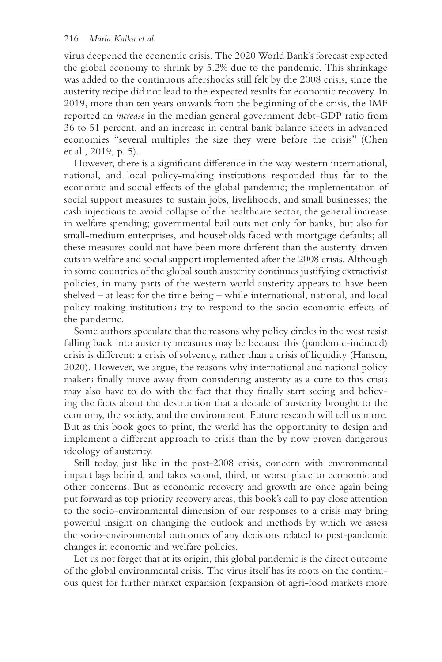virus deepened the economic crisis. The 2020 World Bank's forecast expected the global economy to shrink by 5.2% due to the pandemic. This shrinkage was added to the continuous aftershocks still felt by the 2008 crisis, since the austerity recipe did not lead to the expected results for economic recovery. In 2019, more than ten years onwards from the beginning of the crisis, the IMF reported an *increase* in the median general government debt-GDP ratio from 36 to 51 percent, and an increase in central bank balance sheets in advanced economies "several multiples the size they were before the crisis" (Chen et al., 2019, p. 5).

However, there is a signifcant diference in the way western international, national, and local policy-making institutions responded thus far to the economic and social efects of the global pandemic; the implementation of social support measures to sustain jobs, livelihoods, and small businesses; the cash injections to avoid collapse of the healthcare sector, the general increase in welfare spending; governmental bail outs not only for banks, but also for small-medium enterprises, and households faced with mortgage defaults; all these measures could not have been more diferent than the austerity-driven cuts in welfare and social support implemented after the 2008 crisis. Although in some countries of the global south austerity continues justifying extractivist policies, in many parts of the western world austerity appears to have been shelved – at least for the time being – while international, national, and local policy-making institutions try to respond to the socio-economic efects of the pandemic.

Some authors speculate that the reasons why policy circles in the west resist falling back into austerity measures may be because this (pandemic-induced) crisis is diferent: a crisis of solvency, rather than a crisis of liquidity (Hansen, 2020). However, we argue, the reasons why international and national policy makers fnally move away from considering austerity as a cure to this crisis may also have to do with the fact that they fnally start seeing and believing the facts about the destruction that a decade of austerity brought to the economy, the society, and the environment. Future research will tell us more. But as this book goes to print, the world has the opportunity to design and implement a diferent approach to crisis than the by now proven dangerous ideology of austerity.

Still today, just like in the post-2008 crisis, concern with environmental impact lags behind, and takes second, third, or worse place to economic and other concerns. But as economic recovery and growth are once again being put forward as top priority recovery areas, this book's call to pay close attention to the socio-environmental dimension of our responses to a crisis may bring powerful insight on changing the outlook and methods by which we assess the socio-environmental outcomes of any decisions related to post-pandemic changes in economic and welfare policies.

Let us not forget that at its origin, this global pandemic is the direct outcome of the global environmental crisis. The virus itself has its roots on the continuous quest for further market expansion (expansion of agri-food markets more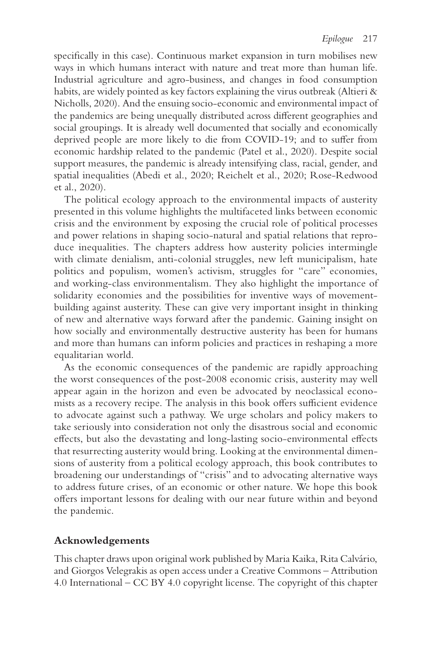specifcally in this case). Continuous market expansion in turn mobilises new ways in which humans interact with nature and treat more than human life. Industrial agriculture and agro-business, and changes in food consumption habits, are widely pointed as key factors explaining the virus outbreak (Altieri & Nicholls, 2020). And the ensuing socio-economic and environmental impact of the pandemics are being unequally distributed across diferent geographies and social groupings. It is already well documented that socially and economically deprived people are more likely to die from COVID-19; and to sufer from economic hardship related to the pandemic (Patel et al., 2020). Despite social support measures, the pandemic is already intensifying class, racial, gender, and spatial inequalities (Abedi et al., 2020; Reichelt et al., 2020; Rose-Redwood et al., 2020).

The political ecology approach to the environmental impacts of austerity presented in this volume highlights the multifaceted links between economic crisis and the environment by exposing the crucial role of political processes and power relations in shaping socio-natural and spatial relations that reproduce inequalities. The chapters address how austerity policies intermingle with climate denialism, anti-colonial struggles, new left municipalism, hate politics and populism, women's activism, struggles for "care" economies, and working-class environmentalism. They also highlight the importance of solidarity economies and the possibilities for inventive ways of movementbuilding against austerity. These can give very important insight in thinking of new and alternative ways forward after the pandemic. Gaining insight on how socially and environmentally destructive austerity has been for humans and more than humans can inform policies and practices in reshaping a more equalitarian world.

As the economic consequences of the pandemic are rapidly approaching the worst consequences of the post-2008 economic crisis, austerity may well appear again in the horizon and even be advocated by neoclassical economists as a recovery recipe. The analysis in this book offers sufficient evidence to advocate against such a pathway. We urge scholars and policy makers to take seriously into consideration not only the disastrous social and economic efects, but also the devastating and long-lasting socio-environmental efects that resurrecting austerity would bring. Looking at the environmental dimensions of austerity from a political ecology approach, this book contributes to broadening our understandings of "crisis" and to advocating alternative ways to address future crises, of an economic or other nature. We hope this book ofers important lessons for dealing with our near future within and beyond the pandemic.

#### **Acknowledgements**

This chapter draws upon original work published by Maria Kaika, Rita Calvário, and Giorgos Velegrakis as open access under a Creative Commons – Attribution 4.0 International – CC BY 4.0 copyright license. The copyright of this chapter